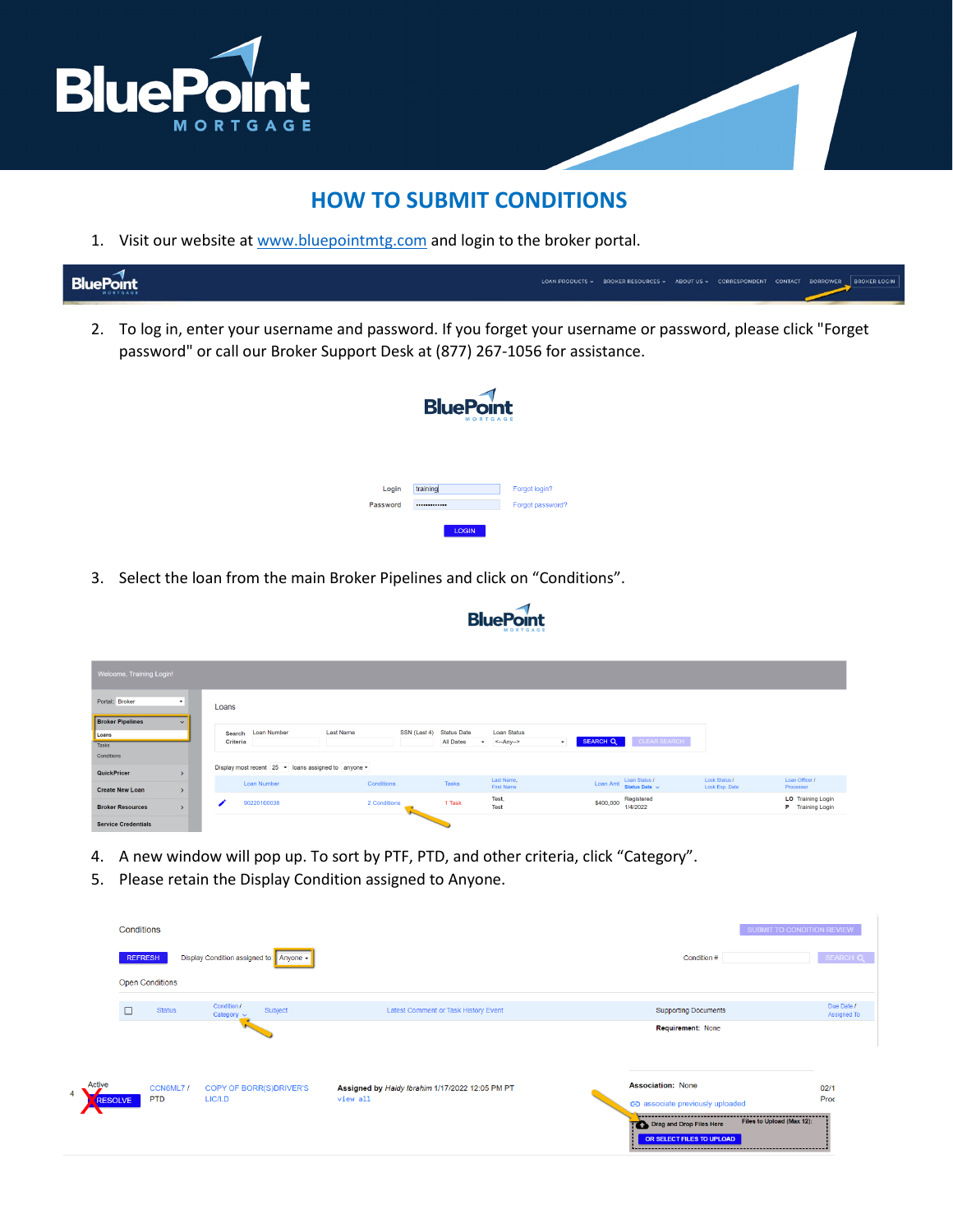

## **HOW TO SUBMIT CONDITIONS**

1. Visit our website at [www.bluepointmtg.com](https://bluepointmtg.com/) and login to the broker portal.

| <b>BluePoint</b> | ABOUT US > CORRESPONDENT CONTACT BORROWER<br><b>BROKER LOCIN</b><br>LOAN PRODUCTS V                                                                                                       |
|------------------|-------------------------------------------------------------------------------------------------------------------------------------------------------------------------------------------|
|                  | To log in, enter your username and password. If you forget your username or password, please click "Forget<br>password" or call our Broker Support Desk at (877) 267-1056 for assistance. |
|                  | <b>BluePoint</b>                                                                                                                                                                          |

| Login    | training     | Forgot login?    |
|----------|--------------|------------------|
| Password |              | Forgot password? |
|          | <b>LOGIN</b> |                  |

3. Select the loan from the main Broker Pipelines and click on "Conditions".

| Welcome, Training Login!                                                            |               |                    |                                  |                                                               |                                                 |                                                                       |
|-------------------------------------------------------------------------------------|---------------|--------------------|----------------------------------|---------------------------------------------------------------|-------------------------------------------------|-----------------------------------------------------------------------|
| Portal: Broker<br>$\mathbf{v}$<br>Loans<br><b>Broker Pipelines</b><br>$\checkmark$  |               |                    |                                  |                                                               |                                                 |                                                                       |
|                                                                                     |               |                    |                                  |                                                               |                                                 |                                                                       |
| Loans                                                                               |               | Search Loan Number | <b>Last Name</b><br>SSN (Last 4) | <b>Status Date</b><br>Loan Status                             |                                                 |                                                                       |
| Tasks                                                                               |               | Criteria           |                                  | <b>All Dates</b><br>$\leftarrow$ Any $\rightarrow$<br>$\cdot$ | CLEAR SEARCH<br><b>SEARCH Q</b><br>$\sim$       |                                                                       |
| Conditions                                                                          |               |                    |                                  |                                                               |                                                 |                                                                       |
| Display most recent 25 • Ioans assigned to anyone •<br>QuickPricer<br>$\rightarrow$ |               |                    |                                  |                                                               |                                                 |                                                                       |
|                                                                                     |               | Loan Number        | Conditions                       | Last Name,<br><b>Tasks</b><br><b>First Name</b>               | Loan Status /<br>Status Date $\sim$<br>Loan Amt | Loan Officer /<br><b>Lock Status /</b><br>Lock Exp. Date<br>Processor |
| <b>Create New Loan</b>                                                              | $\rightarrow$ |                    |                                  | Test,                                                         | Registered                                      | <b>LO</b> Training Login                                              |
| <b>Broker Resources</b>                                                             | $\rightarrow$ | 90220100038        | 2 Conditions                     | 1 Task<br>Test                                                | \$400,000<br>1/4/2022                           | P Training Login                                                      |
| <b>Service Credentials</b>                                                          |               |                    |                                  |                                                               |                                                 |                                                                       |

- 4. A new window will pop up. To sort by PTF, PTD, and other criteria, click "Category".
- 5. Please retain the Display Condition assigned to Anyone.

|                          | Conditions             |                                           |                                                             |  |                                                                                                                                                |                           |
|--------------------------|------------------------|-------------------------------------------|-------------------------------------------------------------|--|------------------------------------------------------------------------------------------------------------------------------------------------|---------------------------|
|                          | <b>REFRESH</b>         | Display Condition assigned to: Anyone +   |                                                             |  | Condition #                                                                                                                                    | SEARCH Q                  |
|                          | <b>Open Conditions</b> |                                           |                                                             |  |                                                                                                                                                |                           |
|                          | <b>Status</b>          | Condition /<br>Subject<br>Category $\sim$ | Latest Comment or Task History Event                        |  | <b>Supporting Documents</b>                                                                                                                    | Due Date /<br>Assigned To |
|                          |                        |                                           |                                                             |  | Requirement: None                                                                                                                              |                           |
| Active<br><b>RESOLVE</b> | CCN6ML7/<br><b>PTD</b> | <b>COPY OF BORR(S)DRIVER'S</b><br>LIC/I.D | Assigned by Haidy Ibrahim 1/17/2022 12:05 PM PT<br>view all |  | <b>Association: None</b><br>GD associate previously uploaded                                                                                   | 02/1<br>Proc              |
|                          |                        |                                           |                                                             |  | Files to Upload (Max 12):<br>Drag and Drop Files Here<br>OR SELECT FILES TO UPLOAD<br><u> Lessessonssessonssessonssessonssessonssessonsses</u> |                           |